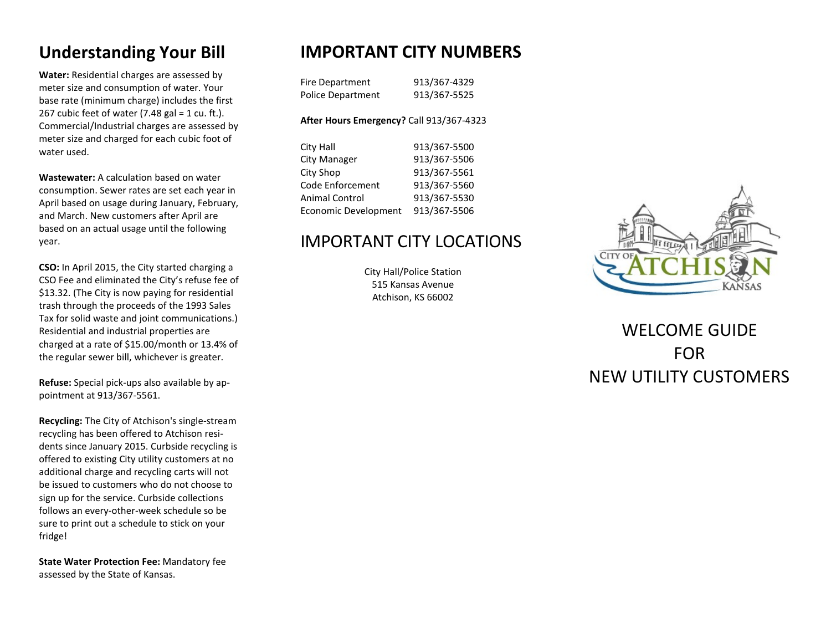# **Understanding Your Bill**

**Water:** Residential charges are assessed by meter size and consumption of water. Your base rate (minimum charge) includes the first 267 cubic feet of water  $(7.48 \text{ gal} = 1 \text{ cu. ft.})$ . Commercial/Industrial charges are assessed by meter size and charged for each cubic foot of water used.

**Wastewater:** A calculation based on water consumption. Sewer rates are set each year in April based on usage during January, February, and March. New customers after April are based on an actual usage until the following year.

**CSO:** In April 2015, the City started charging a CSO Fee and eliminated the City's refuse fee of \$13.32. (The City is now paying for residential trash through the proceeds of the 1993 Sales Tax for solid waste and joint communications.) Residential and industrial properties are charged at a rate of \$15.00/month or 13.4% of the regular sewer bill, whichever is greater.

**Refuse:** Special pick-ups also available by appointment at 913/367-5561.

**Recycling:** The City of Atchison's single-stream recycling has been offered to Atchison residents since January 2015. Curbside recycling is [offered to existing City utility customers at no](https://www.cityofatchison.com/category/subcategory.php?categoryid=6) [additional charge and recycling carts will not](https://www.cityofatchison.com/category/subcategory.php?categoryid=6) [be issued to customers who do not choose to](https://www.cityofatchison.com/category/subcategory.php?categoryid=6) [sign up for the service.](https://www.cityofatchison.com/category/subcategory.php?categoryid=6) Curbside collections [follows an every-other-week schedule so be](https://www.cityofatchison.com/category/subcategory.php?categoryid=6) [sure to print out a schedule to stick on your](https://www.cityofatchison.com/category/subcategory.php?categoryid=6) [fridge!](https://www.cityofatchison.com/category/subcategory.php?categoryid=6)

**State Water Protection Fee:** Mandatory fee assessed by the State of Kansas.

# **IMPORTANT CITY NUMBERS**

| Fire Department   | 913/367-4329 |
|-------------------|--------------|
| Police Department | 913/367-5525 |

### **After Hours Emergency?** Call 913/367-4323

| City Hall                   | 913/367-5500 |
|-----------------------------|--------------|
| City Manager                | 913/367-5506 |
| City Shop                   | 913/367-5561 |
| Code Enforcement            | 913/367-5560 |
| <b>Animal Control</b>       | 913/367-5530 |
| <b>Economic Development</b> | 913/367-5506 |

## IMPORTANT CITY LOCATIONS

City Hall/Police Station 515 Kansas Avenue Atchison, KS 66002



# WELCOME GUIDE FOR NEW UTILITY CUSTOMERS